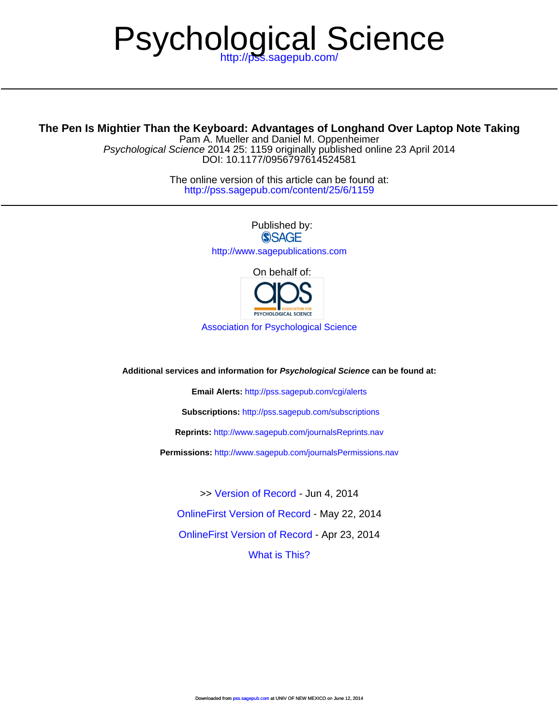# Psychological Science

# **The Pen Is Mightier Than the Keyboard: Advantages of Longhand Over Laptop Note Taking**

DOI: 10.1177/0956797614524581 Psychological Science 2014 25: 1159 originally published online 23 April 2014 Pam A. Mueller and Daniel M. Oppenheimer

> <http://pss.sagepub.com/content/25/6/1159> The online version of this article can be found at:

> > Published by: **SSAGE** <http://www.sagepublications.com> On behalf of:



[Association for Psychological Science](http://www.psychologicalscience.org/)

**Additional services and information for Psychological Science can be found at:**

**Email Alerts:** <http://pss.sagepub.com/cgi/alerts>

**Subscriptions:** <http://pss.sagepub.com/subscriptions>

**Reprints:** <http://www.sagepub.com/journalsReprints.nav>

**Permissions:** <http://www.sagepub.com/journalsPermissions.nav>

[What is This?](http://online.sagepub.com/site/sphelp/vorhelp.xhtml) [OnlineFirst Version of Record -](http://pss.sagepub.com/content/early/2014/04/22/0956797614524581.full.pdf) Apr 23, 2014 [OnlineFirst Version of Record -](http://pss.sagepub.com/content/early/2014/05/21/0956797614524581.full.pdf) May 22, 2014 >> [Version of Record -](http://pss.sagepub.com/content/25/6/1159.full.pdf) Jun 4, 2014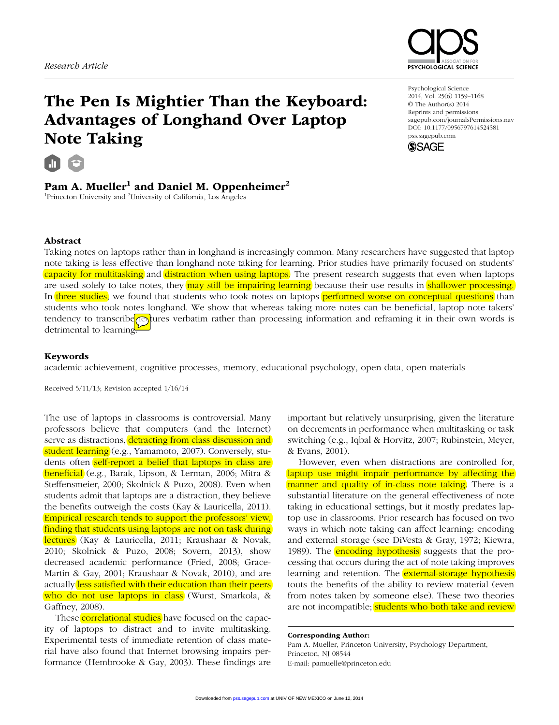

# The Pen Is Mightier Than the Keyboard: Advantages of Longhand Over Laptop Note Taking



# Pam A. Mueller<sup>1</sup> and Daniel M. Oppenheimer<sup>2</sup>

<sup>1</sup>Princeton University and <sup>2</sup>University of California, Los Angeles

Psychological Science 2014, Vol. 25(6) 1159–1168 © The Author(s) 2014 Reprints and permissions: sagepub.com/journalsPermissions.nav DOI: 10.1177/0956797614524581 pss.sagepub.com



# Abstract

Taking notes on laptops rather than in longhand is increasingly common. Many researchers have suggested that laptop note taking is less effective than longhand note taking for learning. Prior studies have primarily focused on students' capacity for multitasking and distraction when using laptops. The present research suggests that even when laptops are used solely to take notes, they may still be impairing learning because their use results in shallower processing. In three studies, we found that students who took notes on laptops performed worse on conceptual questions than students who took notes longhand. We show that whereas taking more notes can be beneficial, laptop note takers' tendency to transcribe respectures verbatim rather than processing information and reframing it in their own words is detrimental to learning.

#### Keywords

academic achievement, cognitive processes, memory, educational psychology, open data, open materials

Received 5/11/13; Revision accepted 1/16/14

The use of laptops in classrooms is controversial. Many professors believe that computers (and the Internet) serve as distractions, detracting from class discussion and student learning (e.g., Yamamoto, 2007). Conversely, students often self-report a belief that laptops in class are beneficial (e.g., Barak, Lipson, & Lerman, 2006; Mitra & Steffensmeier, 2000; Skolnick & Puzo, 2008). Even when students admit that laptops are a distraction, they believe the benefits outweigh the costs (Kay & Lauricella, 2011). Empirical research tends to support the professors' view, finding that students using laptops are not on task during lectures (Kay & Lauricella, 2011; Kraushaar & Novak, 2010; Skolnick & Puzo, 2008; Sovern, 2013), show decreased academic performance (Fried, 2008; Grace-Martin & Gay, 2001; Kraushaar & Novak, 2010), and are actually less satisfied with their education than their peers who do not use laptops in class (Wurst, Smarkola, & Gaffney, 2008).

These correlational studies have focused on the capacity of laptops to distract and to invite multitasking. Experimental tests of immediate retention of class material have also found that Internet browsing impairs performance (Hembrooke & Gay, 2003). These findings are

important but relatively unsurprising, given the literature on decrements in performance when multitasking or task switching (e.g., Iqbal & Horvitz, 2007; Rubinstein, Meyer, & Evans, 2001).

However, even when distractions are controlled for, laptop use might impair performance by affecting the manner and quality of in-class note taking. There is a substantial literature on the general effectiveness of note taking in educational settings, but it mostly predates laptop use in classrooms. Prior research has focused on two ways in which note taking can affect learning: encoding and external storage (see DiVesta & Gray, 1972; Kiewra, 1989). The encoding hypothesis suggests that the processing that occurs during the act of note taking improves learning and retention. The **external-storage hypothesis** touts the benefits of the ability to review material (even from notes taken by someone else). These two theories are not incompatible; students who both take and review

Corresponding Author: Pam A. Mueller, Princeton University, Psychology Department, Princeton, NJ 08544

E-mail: pamuelle@princeton.edu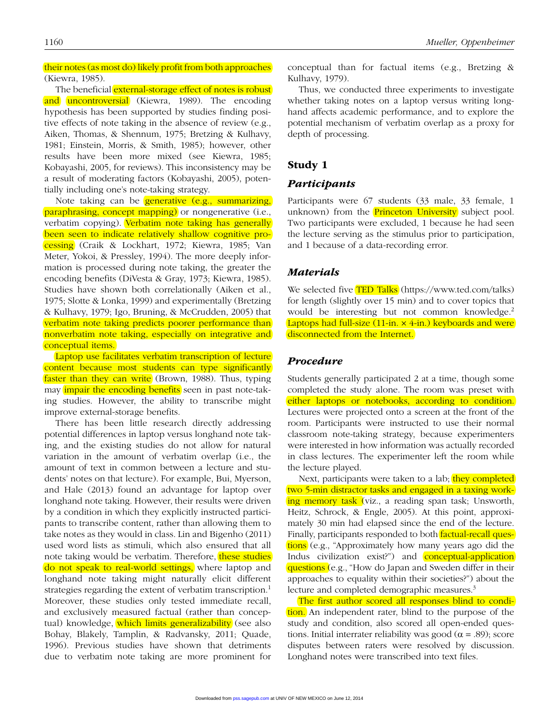their notes (as most do) likely profit from both approaches (Kiewra, 1985).

The beneficial external-storage effect of notes is robust and uncontroversial (Kiewra, 1989). The encoding hypothesis has been supported by studies finding positive effects of note taking in the absence of review (e.g., Aiken, Thomas, & Shennum, 1975; Bretzing & Kulhavy, 1981; Einstein, Morris, & Smith, 1985); however, other results have been more mixed (see Kiewra, 1985; Kobayashi, 2005, for reviews). This inconsistency may be a result of moderating factors (Kobayashi, 2005), potentially including one's note-taking strategy.

Note taking can be **generative** (e.g., summarizing, paraphrasing, concept mapping) or nongenerative (i.e., verbatim copying). Verbatim note taking has generally been seen to indicate relatively shallow cognitive processing (Craik & Lockhart, 1972; Kiewra, 1985; Van Meter, Yokoi, & Pressley, 1994). The more deeply information is processed during note taking, the greater the encoding benefits (DiVesta & Gray, 1973; Kiewra, 1985). Studies have shown both correlationally (Aiken et al., 1975; Slotte & Lonka, 1999) and experimentally (Bretzing & Kulhavy, 1979; Igo, Bruning, & McCrudden, 2005) that verbatim note taking predicts poorer performance than nonverbatim note taking, especially on integrative and conceptual items.

Laptop use facilitates verbatim transcription of lecture content because most students can type significantly faster than they can write (Brown, 1988). Thus, typing may *impair the encoding benefits* seen in past note-taking studies. However, the ability to transcribe might improve external-storage benefits.

There has been little research directly addressing potential differences in laptop versus longhand note taking, and the existing studies do not allow for natural variation in the amount of verbatim overlap (i.e., the amount of text in common between a lecture and students' notes on that lecture). For example, Bui, Myerson, and Hale (2013) found an advantage for laptop over longhand note taking. However, their results were driven by a condition in which they explicitly instructed participants to transcribe content, rather than allowing them to take notes as they would in class. Lin and Bigenho (2011) used word lists as stimuli, which also ensured that all note taking would be verbatim. Therefore, these studies do not speak to real-world settings, where laptop and longhand note taking might naturally elicit different strategies regarding the extent of verbatim transcription.<sup>1</sup> Moreover, these studies only tested immediate recall, and exclusively measured factual (rather than conceptual) knowledge, which limits generalizability (see also Bohay, Blakely, Tamplin, & Radvansky, 2011; Quade, 1996). Previous studies have shown that detriments due to verbatim note taking are more prominent for

conceptual than for factual items (e.g., Bretzing & Kulhavy, 1979).

Thus, we conducted three experiments to investigate whether taking notes on a laptop versus writing longhand affects academic performance, and to explore the potential mechanism of verbatim overlap as a proxy for depth of processing.

# Study 1

# *Participants*

Participants were 67 students (33 male, 33 female, 1 unknown) from the **Princeton University** subject pool. Two participants were excluded, 1 because he had seen the lecture serving as the stimulus prior to participation, and 1 because of a data-recording error.

#### *Materials*

We selected five **TED Talks** (https://www.ted.com/talks) for length (slightly over 15 min) and to cover topics that would be interesting but not common knowledge.<sup>2</sup> Laptops had full-size  $(11$ -in.  $\times$  4-in.) keyboards and were disconnected from the Internet.

## *Procedure*

Students generally participated 2 at a time, though some completed the study alone. The room was preset with either laptops or notebooks, according to condition. Lectures were projected onto a screen at the front of the room. Participants were instructed to use their normal classroom note-taking strategy, because experimenters were interested in how information was actually recorded in class lectures. The experimenter left the room while the lecture played.

Next, participants were taken to a lab; they completed two 5-min distractor tasks and engaged in a taxing working memory task (viz., a reading span task; Unsworth, Heitz, Schrock, & Engle, 2005). At this point, approximately 30 min had elapsed since the end of the lecture. Finally, participants responded to both **factual-recall ques**tions (e.g., "Approximately how many years ago did the Indus civilization exist?") and conceptual-application questions (e.g., "How do Japan and Sweden differ in their approaches to equality within their societies?") about the lecture and completed demographic measures.<sup>3</sup>

The first author scored all responses blind to condition. An independent rater, blind to the purpose of the study and condition, also scored all open-ended questions. Initial interrater reliability was good ( $\alpha$  = .89); score disputes between raters were resolved by discussion. Longhand notes were transcribed into text files.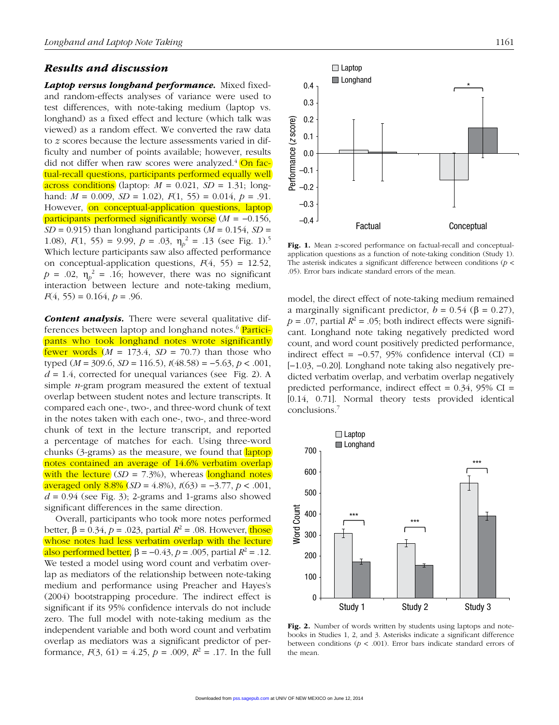## *Results and discussion*

*Laptop versus longhand performance.* Mixed fixedand random-effects analyses of variance were used to test differences, with note-taking medium (laptop vs. longhand) as a fixed effect and lecture (which talk was viewed) as a random effect. We converted the raw data to *z* scores because the lecture assessments varied in difficulty and number of points available; however, results did not differ when raw scores were analyzed.<sup>4</sup> On factual-recall questions, participants performed equally well  $\alpha$  across conditions (laptop:  $M = 0.021$ ,  $SD = 1.31$ ; longhand: *M* = 0.009, *SD =* 1.02), *F*(1, 55) = 0.014, *p =* .91. However, on conceptual-application questions, laptop participants performed significantly worse (*M* = −0.156,  $SD = 0.915$ ) than longhand participants ( $M = 0.154$ ,  $SD =$ 1.08),  $F(1, 55) = 9.99$ ,  $p = .03$ ,  $\eta_p^2 = .13$  (see Fig. 1).<sup>5</sup> Which lecture participants saw also affected performance on conceptual-application questions, *F*(4, 55) = 12.52,  $p = .02$ ,  $\eta_p^2 = .16$ ; however, there was no significant interaction between lecture and note-taking medium,  $F(4, 55) = 0.164, p = .96.$ 

*Content analysis.* There were several qualitative differences between laptop and longhand notes.<sup>6</sup> <mark>Partici-</mark> pants who took longhand notes wrote significantly fewer words  $(M = 173.4, SD = 70.7)$  than those who typed (*M =* 309.6, *SD =* 116.5), *t*(48.58) = −5.63, *p* < .001,  $d = 1.4$ , corrected for unequal variances (see Fig. 2). A simple *n*-gram program measured the extent of textual overlap between student notes and lecture transcripts. It compared each one-, two-, and three-word chunk of text in the notes taken with each one-, two-, and three-word chunk of text in the lecture transcript, and reported a percentage of matches for each. Using three-word chunks (3-grams) as the measure, we found that **laptop** notes contained an average of 14.6% verbatim overlap with the lecture  $(SD = 7.3\%)$ , whereas longhand notes averaged only  $8.8\%$  (*SD* = 4.8%),  $t(63) = -3.77$ ,  $p < .001$ ,  $d = 0.94$  (see Fig. 3); 2-grams and 1-grams also showed significant differences in the same direction.

Overall, participants who took more notes performed better,  $β = 0.34$ ,  $p = .023$ , partial  $R^2 = .08$ . However, those whose notes had less verbatim overlap with the lecture also performed better, β =  $-0.43$ , *p* = .005, partial *R*<sup>2</sup> = .12. We tested a model using word count and verbatim overlap as mediators of the relationship between note-taking medium and performance using Preacher and Hayes's (2004) bootstrapping procedure. The indirect effect is significant if its 95% confidence intervals do not include zero. The full model with note-taking medium as the independent variable and both word count and verbatim overlap as mediators was a significant predictor of performance,  $F(3, 61) = 4.25$ ,  $p = .009$ ,  $R^2 = .17$ . In the full



Fig. 1. Mean *z*-scored performance on factual-recall and conceptualapplication questions as a function of note-taking condition (Study 1). The asterisk indicates a significant difference between conditions (*p* < .05). Error bars indicate standard errors of the mean.

model, the direct effect of note-taking medium remained a marginally significant predictor,  $b = 0.54$  ( $\beta = 0.27$ ),  $p = 0.07$ , partial  $R^2 = 0.05$ ; both indirect effects were significant. Longhand note taking negatively predicted word count, and word count positively predicted performance, indirect effect =  $-0.57$ , 95% confidence interval (CI) = [−1.03, −0.20]. Longhand note taking also negatively predicted verbatim overlap, and verbatim overlap negatively predicted performance, indirect effect =  $0.34$ ,  $95\%$  CI = [0.14, 0.71]. Normal theory tests provided identical conclusions.7



Fig. 2. Number of words written by students using laptops and notebooks in Studies 1, 2, and 3. Asterisks indicate a significant difference between conditions ( $p < .001$ ). Error bars indicate standard errors of the mean.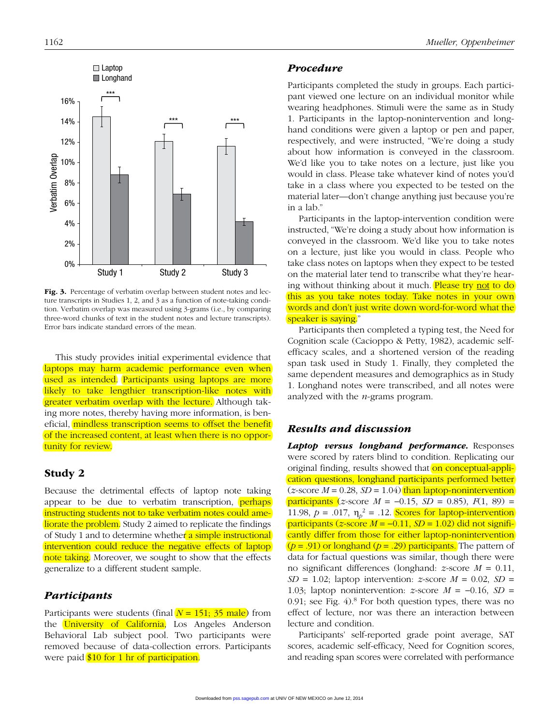

Fig. 3. Percentage of verbatim overlap between student notes and lecture transcripts in Studies 1, 2, and 3 as a function of note-taking condition. Verbatim overlap was measured using 3-grams (i.e., by comparing three-word chunks of text in the student notes and lecture transcripts). Error bars indicate standard errors of the mean.

This study provides initial experimental evidence that laptops may harm academic performance even when used as intended. Participants using laptops are more likely to take lengthier transcription-like notes with greater verbatim overlap with the lecture. Although taking more notes, thereby having more information, is beneficial, mindless transcription seems to offset the benefit of the increased content, at least when there is no opportunity for review.

# Study 2

Because the detrimental effects of laptop note taking appear to be due to verbatim transcription, perhaps instructing students not to take verbatim notes could ameliorate the problem. Study 2 aimed to replicate the findings of Study 1 and to determine whether a simple instructional intervention could reduce the negative effects of laptop note taking. Moreover, we sought to show that the effects generalize to a different student sample.

# *Participants*

Participants were students (final  $N = 151$ ; 35 male) from the University of California, Los Angeles Anderson Behavioral Lab subject pool. Two participants were removed because of data-collection errors. Participants were paid \$10 for 1 hr of participation.

## *Procedure*

Participants completed the study in groups. Each participant viewed one lecture on an individual monitor while wearing headphones. Stimuli were the same as in Study 1. Participants in the laptop-nonintervention and longhand conditions were given a laptop or pen and paper, respectively, and were instructed, "We're doing a study about how information is conveyed in the classroom. We'd like you to take notes on a lecture, just like you would in class. Please take whatever kind of notes you'd take in a class where you expected to be tested on the material later—don't change anything just because you're in a lab."

Participants in the laptop-intervention condition were instructed, "We're doing a study about how information is conveyed in the classroom. We'd like you to take notes on a lecture, just like you would in class. People who take class notes on laptops when they expect to be tested on the material later tend to transcribe what they're hearing without thinking about it much. Please try not to do this as you take notes today. Take notes in your own words and don't just write down word-for-word what the speaker is saying."

Participants then completed a typing test, the Need for Cognition scale (Cacioppo & Petty, 1982), academic selfefficacy scales, and a shortened version of the reading span task used in Study 1. Finally, they completed the same dependent measures and demographics as in Study 1. Longhand notes were transcribed, and all notes were analyzed with the *n*-grams program.

# *Results and discussion*

*Laptop versus longhand performance.* Responses were scored by raters blind to condition. Replicating our original finding, results showed that on conceptual-application questions, longhand participants performed better  $(z$ -score  $M = 0.28$ ,  $SD = 1.04$ ) than laptop-nonintervention participants (*z*-score *M* = −0.15, *SD* = 0.85), *F*(1, 89) = 11.98,  $p = .017$ ,  $\eta_p^2 = .12$ . Scores for laptop-intervention participants (*z*-score *M* = −0.11, *SD* = 1.02) did not significantly differ from those for either laptop-nonintervention  $(p = .91)$  or longhand  $(p = .29)$  participants. The pattern of data for factual questions was similar, though there were no significant differences (longhand: *z*-score *M* = 0.11,  $SD = 1.02$ ; laptop intervention: *z*-score  $M = 0.02$ ,  $SD =$ 1.03; laptop nonintervention: *z*-score *M* = −0.16, *SD* = 0.91; see Fig. 4).<sup>8</sup> For both question types, there was no effect of lecture, nor was there an interaction between lecture and condition.

Participants' self-reported grade point average, SAT scores, academic self-efficacy, Need for Cognition scores, and reading span scores were correlated with performance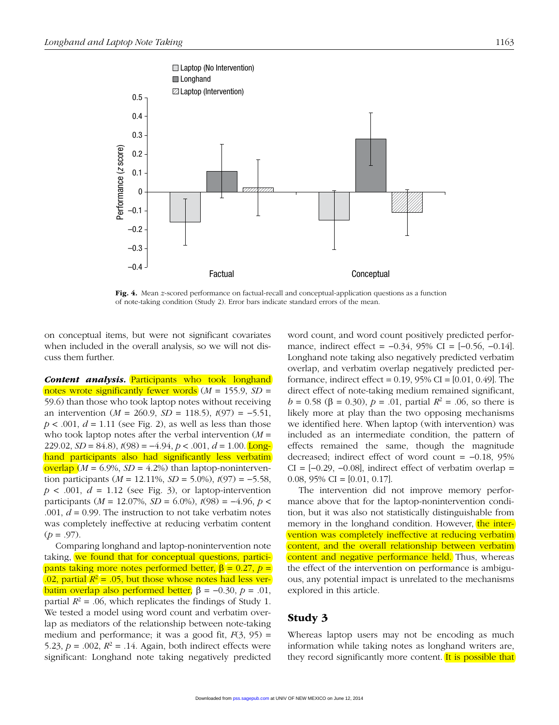

Fig. 4. Mean *z*-scored performance on factual-recall and conceptual-application questions as a function of note-taking condition (Study 2). Error bars indicate standard errors of the mean.

on conceptual items, but were not significant covariates when included in the overall analysis, so we will not discuss them further.

**Content analysis.** Participants who took longhand notes wrote significantly fewer words (*M* = 155.9, *SD* = 59.6) than those who took laptop notes without receiving an intervention (*M* = 260.9, *SD* = 118.5), *t*(97) = −5.51,  $p < .001$ ,  $d = 1.11$  (see Fig. 2), as well as less than those who took laptop notes after the verbal intervention (*M* = 229.02, *SD* = 84.8), *t*(98) = −4.94, *p* < .001, *d* = 1.00. Longhand participants also had significantly less verbatim **overlap**  $(M = 6.9\%, SD = 4.2\%)$  than laptop-nonintervention participants (*M* = 12.11%, *SD* = 5.0%), *t*(97) = −5.58,  $p < .001$ ,  $d = 1.12$  (see Fig. 3), or laptop-intervention participants (*M* = 12.07%, *SD* = 6.0%), *t*(98) = −4.96, *p* < .001,  $d = 0.99$ . The instruction to not take verbatim notes was completely ineffective at reducing verbatim content  $(p = .97)$ .

Comparing longhand and laptop-nonintervention note taking, we found that for conceptual questions, participants taking more notes performed better, β = 0.27, *p* =  $1.02$ , partial  $R^2$  = .05, but those whose notes had less verbatim overlap also performed better, β = −0.30, *p* = .01, partial  $R^2 = 0.06$ , which replicates the findings of Study 1. We tested a model using word count and verbatim overlap as mediators of the relationship between note-taking medium and performance; it was a good fit, *F*(3, 95) = 5.23,  $p = .002$ ,  $R^2 = .14$ . Again, both indirect effects were significant: Longhand note taking negatively predicted

word count, and word count positively predicted performance, indirect effect =  $-0.34$ , 95% CI =  $[-0.56, -0.14]$ . Longhand note taking also negatively predicted verbatim overlap, and verbatim overlap negatively predicted performance, indirect effect =  $0.19$ ,  $95\%$  CI =  $[0.01, 0.49]$ . The direct effect of note-taking medium remained significant,  $b = 0.58$  (β = 0.30),  $p = .01$ , partial  $R<sup>2</sup> = .06$ , so there is likely more at play than the two opposing mechanisms we identified here. When laptop (with intervention) was included as an intermediate condition, the pattern of effects remained the same, though the magnitude decreased; indirect effect of word count = −0.18, 95% CI =  $[-0.29, -0.08]$ , indirect effect of verbatim overlap = 0.08,  $95\%$  CI = [0.01, 0.17].

The intervention did not improve memory performance above that for the laptop-nonintervention condition, but it was also not statistically distinguishable from memory in the longhand condition. However, the intervention was completely ineffective at reducing verbatim content, and the overall relationship between verbatim content and negative performance held. Thus, whereas the effect of the intervention on performance is ambiguous, any potential impact is unrelated to the mechanisms explored in this article.

# Study 3

Whereas laptop users may not be encoding as much information while taking notes as longhand writers are, they record significantly more content. It is possible that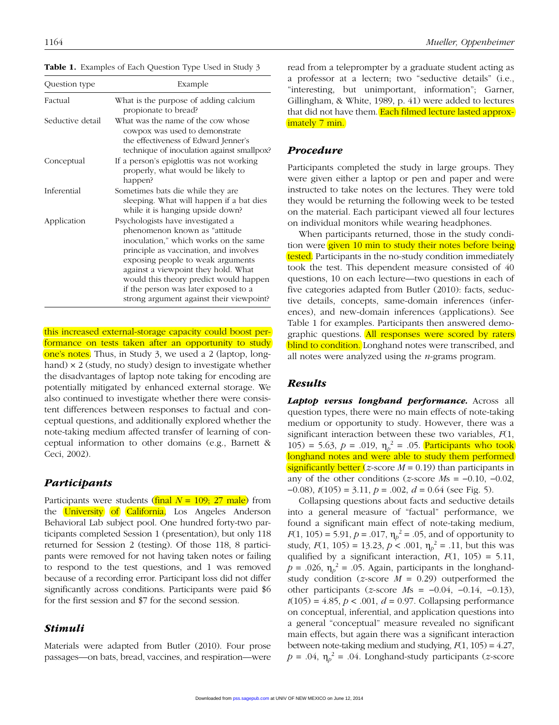| Question type    | Example                                                                                                                                                                                                                                                                                                                                                         |  |  |  |
|------------------|-----------------------------------------------------------------------------------------------------------------------------------------------------------------------------------------------------------------------------------------------------------------------------------------------------------------------------------------------------------------|--|--|--|
| Factual          | What is the purpose of adding calcium<br>propionate to bread?                                                                                                                                                                                                                                                                                                   |  |  |  |
| Seductive detail | What was the name of the cow whose<br>cowpox was used to demonstrate<br>the effectiveness of Edward Jenner's<br>technique of inoculation against smallpox?                                                                                                                                                                                                      |  |  |  |
| Conceptual       | If a person's epiglottis was not working<br>properly, what would be likely to<br>happen?                                                                                                                                                                                                                                                                        |  |  |  |
| Inferential      | Sometimes bats die while they are<br>sleeping. What will happen if a bat dies<br>while it is hanging upside down?                                                                                                                                                                                                                                               |  |  |  |
| Application      | Psychologists have investigated a<br>phenomenon known as "attitude<br>inoculation," which works on the same<br>principle as vaccination, and involves<br>exposing people to weak arguments<br>against a viewpoint they hold. What<br>would this theory predict would happen<br>if the person was later exposed to a<br>strong argument against their viewpoint? |  |  |  |

Table 1. Examples of Each Question Type Used in Study 3

this increased external-storage capacity could boost performance on tests taken after an opportunity to study one's notes. Thus, in Study 3, we used a 2 (laptop, longhand)  $\times$  2 (study, no study) design to investigate whether the disadvantages of laptop note taking for encoding are potentially mitigated by enhanced external storage. We also continued to investigate whether there were consistent differences between responses to factual and conceptual questions, and additionally explored whether the note-taking medium affected transfer of learning of conceptual information to other domains (e.g., Barnett & Ceci, 2002).

# *Participants*

Participants were students (final  $N = 109$ ; 27 male) from the University of California, Los Angeles Anderson Behavioral Lab subject pool. One hundred forty-two participants completed Session 1 (presentation), but only 118 returned for Session 2 (testing). Of those 118, 8 participants were removed for not having taken notes or failing to respond to the test questions, and 1 was removed because of a recording error. Participant loss did not differ significantly across conditions. Participants were paid \$6 for the first session and \$7 for the second session.

# *Stimuli*

Materials were adapted from Butler (2010). Four prose passages—on bats, bread, vaccines, and respiration—were read from a teleprompter by a graduate student acting as a professor at a lectern; two "seductive details" (i.e., "interesting, but unimportant, information"; Garner, Gillingham, & White, 1989, p. 41) were added to lectures that did not have them. Each filmed lecture lasted approximately 7 min.

# *Procedure*

Participants completed the study in large groups. They were given either a laptop or pen and paper and were instructed to take notes on the lectures. They were told they would be returning the following week to be tested on the material. Each participant viewed all four lectures on individual monitors while wearing headphones.

When participants returned, those in the study condition were given 10 min to study their notes before being tested. Participants in the no-study condition immediately took the test. This dependent measure consisted of 40 questions, 10 on each lecture—two questions in each of five categories adapted from Butler (2010): facts, seductive details, concepts, same-domain inferences (inferences), and new-domain inferences (applications). See Table 1 for examples. Participants then answered demographic questions. All responses were scored by raters blind to condition. Longhand notes were transcribed, and all notes were analyzed using the *n*-grams program.

# *Results*

*Laptop versus longhand performance.* Across all question types, there were no main effects of note-taking medium or opportunity to study. However, there was a significant interaction between these two variables, *F*(1, 105) = 5.63,  $p = .019$ ,  $\eta_p^2 = .05$ . Participants who took longhand notes and were able to study them performed significantly better (*z*-score *M* = 0.19) than participants in any of the other conditions (*z*-score *M*s = −0.10, −0.02, −0.08), *t*(105) = 3.11, *p* = .002, *d* = 0.64 (see Fig. 5).

Collapsing questions about facts and seductive details into a general measure of "factual" performance, we found a significant main effect of note-taking medium,  $F(1, 105) = 5.91, p = .017, \eta_p^2 = .05$ , and of opportunity to study,  $F(1, 105) = 13.23, p < .001, \eta_p^2 = .11$ , but this was qualified by a significant interaction,  $F(1, 105) = 5.11$ ,  $p = .026$ ,  $\eta_p^2 = .05$ . Again, participants in the longhandstudy condition (*z*-score *M* = 0.29) outperformed the other participants (*z*-score *M*s = −0.04, −0.14, −0.13),  $t(105) = 4.85, p < .001, d = 0.97$ . Collapsing performance on conceptual, inferential, and application questions into a general "conceptual" measure revealed no significant main effects, but again there was a significant interaction between note-taking medium and studying,  $F(1, 105) = 4.27$ ,  $p = .04$ ,  $\eta_p^2 = .04$ . Longhand-study participants (*z*-score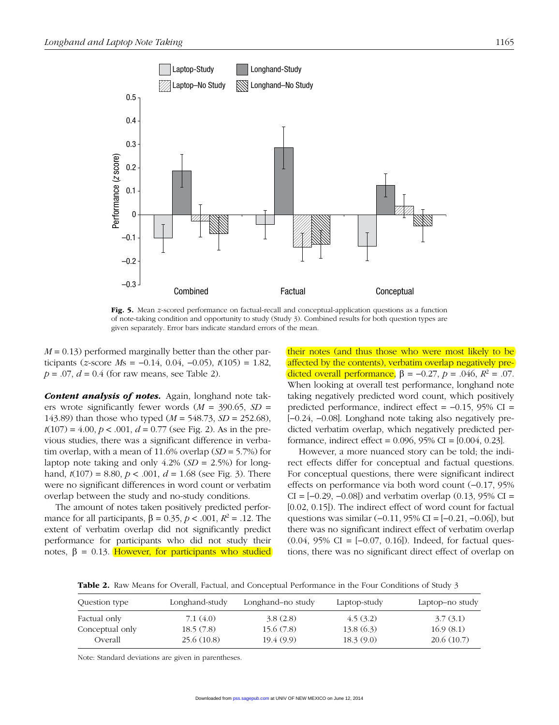

Fig. 5. Mean *z*-scored performance on factual-recall and conceptual-application questions as a function of note-taking condition and opportunity to study (Study 3). Combined results for both question types are given separately. Error bars indicate standard errors of the mean.

*M* = 0.13) performed marginally better than the other participants (*z*-score *M*s = −0.14, 0.04, −0.05), *t*(105) = 1.82,  $p = .07$ ,  $d = 0.4$  (for raw means, see Table 2).

*Content analysis of notes.* Again, longhand note takers wrote significantly fewer words (*M* = 390.65, *SD* = 143.89) than those who typed (*M* = 548.73, *SD* = 252.68),  $t(107) = 4.00, p < .001, d = 0.77$  (see Fig. 2). As in the previous studies, there was a significant difference in verbatim overlap, with a mean of 11.6% overlap (*SD* = 5.7%) for laptop note taking and only 4.2% (*SD* = 2.5%) for longhand, *t*(107) = 8.80, *p* < .001, *d* = 1.68 (see Fig. 3). There were no significant differences in word count or verbatim overlap between the study and no-study conditions.

The amount of notes taken positively predicted performance for all participants,  $\beta = 0.35$ ,  $p < .001$ ,  $R^2 = .12$ . The extent of verbatim overlap did not significantly predict performance for participants who did not study their notes,  $\beta = 0.13$ . However, for participants who studied

their notes (and thus those who were most likely to be affected by the contents), verbatim overlap negatively predicted overall performance,  $β = -0.27, p = .046, R<sup>2</sup> = .07$ . When looking at overall test performance, longhand note taking negatively predicted word count, which positively predicted performance, indirect effect = −0.15, 95% CI = [−0.24, −0.08]. Longhand note taking also negatively predicted verbatim overlap, which negatively predicted performance, indirect effect =  $0.096$ ,  $95\%$  CI =  $[0.004, 0.23]$ .

However, a more nuanced story can be told; the indirect effects differ for conceptual and factual questions. For conceptual questions, there were significant indirect effects on performance via both word count (−0.17, 95% CI =  $[-0.29, -0.08]$ ) and verbatim overlap  $(0.13, 95\%$  CI = [0.02, 0.15]). The indirect effect of word count for factual questions was similar (−0.11, 95% CI = [−0.21, −0.06]), but there was no significant indirect effect of verbatim overlap  $(0.04, 95\% \text{ CI} = [-0.07, 0.16])$ . Indeed, for factual questions, there was no significant direct effect of overlap on

Table 2. Raw Means for Overall, Factual, and Conceptual Performance in the Four Conditions of Study 3

| Question type                   | Longhand-study         | Longhand–no study     | Laptop-study          | Laptop-no study       |
|---------------------------------|------------------------|-----------------------|-----------------------|-----------------------|
| Factual only<br>Conceptual only | 7.1 (4.0)<br>18.5(7.8) | 3.8(2.8)<br>15.6(7.8) | 4.5(3.2)<br>13.8(6.3) | 3.7(3.1)<br>16.9(8.1) |
| Overall                         | 25.6(10.8)             | 19.4(9.9)             | 18.3(9.0)             | 20.6(10.7)            |

Note: Standard deviations are given in parentheses.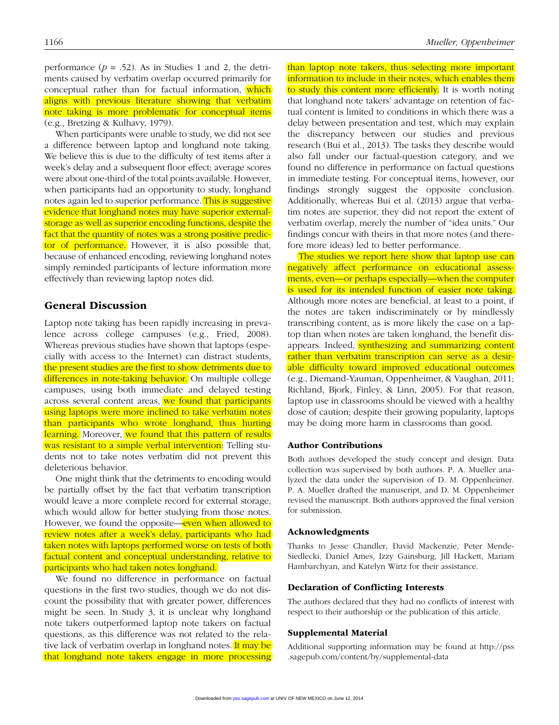performance  $(p = .52)$ . As in Studies 1 and 2, the detriments caused by verbatim overlap occurred primarily for conceptual rather than for factual information, which aligns with previous literature showing that verbatim note taking is more problematic for conceptual items (e.g., Bretzing & Kulhavy, 1979).

When participants were unable to study, we did not see a difference between laptop and longhand note taking. We believe this is due to the difficulty of test items after a week's delay and a subsequent floor effect; average scores were about one-third of the total points available. However, when participants had an opportunity to study, longhand notes again led to superior performance. This is suggestive evidence that longhand notes may have superior externalstorage as well as superior encoding functions, despite the fact that the quantity of notes was a strong positive predictor of performance. However, it is also possible that, because of enhanced encoding, reviewing longhand notes simply reminded participants of lecture information more effectively than reviewing laptop notes did.

#### General Discussion

Laptop note taking has been rapidly increasing in prevalence across college campuses (e.g., Fried, 2008). Whereas previous studies have shown that laptops (especially with access to the Internet) can distract students, the present studies are the first to show detriments due to differences in note-taking behavior. On multiple college campuses, using both immediate and delayed testing across several content areas, we found that participants using laptops were more inclined to take verbatim notes than participants who wrote longhand, thus hurting learning. Moreover, we found that this pattern of results was resistant to a simple verbal intervention: Telling students not to take notes verbatim did not prevent this deleterious behavior.

One might think that the detriments to encoding would be partially offset by the fact that verbatim transcription would leave a more complete record for external storage, which would allow for better studying from those notes. However, we found the opposite—even when allowed to review notes after a week's delay, participants who had taken notes with laptops performed worse on tests of both factual content and conceptual understanding, relative to participants who had taken notes longhand.

We found no difference in performance on factual questions in the first two studies, though we do not discount the possibility that with greater power, differences might be seen. In Study 3, it is unclear why longhand note takers outperformed laptop note takers on factual questions, as this difference was not related to the relative lack of verbatim overlap in longhand notes. It may be that longhand note takers engage in more processing than laptop note takers, thus selecting more important information to include in their notes, which enables them to study this content more efficiently. It is worth noting that longhand note takers' advantage on retention of factual content is limited to conditions in which there was a delay between presentation and test, which may explain the discrepancy between our studies and previous research (Bui et al., 2013). The tasks they describe would also fall under our factual-question category, and we found no difference in performance on factual questions in immediate testing. For conceptual items, however, our findings strongly suggest the opposite conclusion. Additionally, whereas Bui et al. (2013) argue that verbatim notes are superior, they did not report the extent of verbatim overlap, merely the number of "idea units." Our findings concur with theirs in that more notes (and therefore more ideas) led to better performance.

The studies we report here show that laptop use can negatively affect performance on educational assessments, even—or perhaps especially—when the computer is used for its intended function of easier note taking. Although more notes are beneficial, at least to a point, if the notes are taken indiscriminately or by mindlessly transcribing content, as is more likely the case on a laptop than when notes are taken longhand, the benefit disappears. Indeed, synthesizing and summarizing content rather than verbatim transcription can serve as a desirable difficulty toward improved educational outcomes (e.g., Diemand-Yauman, Oppenheimer, & Vaughan, 2011; Richland, Bjork, Finley, & Linn, 2005). For that reason, laptop use in classrooms should be viewed with a healthy dose of caution; despite their growing popularity, laptops may be doing more harm in classrooms than good.

#### Author Contributions

Both authors developed the study concept and design. Data collection was supervised by both authors. P. A. Mueller analyzed the data under the supervision of D. M. Oppenheimer. P. A. Mueller drafted the manuscript, and D. M. Oppenheimer revised the manuscript. Both authors approved the final version for submission.

#### Acknowledgments

Thanks to Jesse Chandler, David Mackenzie, Peter Mende-Siedlecki, Daniel Ames, Izzy Gainsburg, Jill Hackett, Mariam Hambarchyan, and Katelyn Wirtz for their assistance.

#### Declaration of Conflicting Interests

The authors declared that they had no conflicts of interest with respect to their authorship or the publication of this article.

#### Supplemental Material

[Additional supporting information may be found at http://pss](http://pss.sagepub.com/content/by/supplemental-data) .sagepub.com/content/by/supplemental-data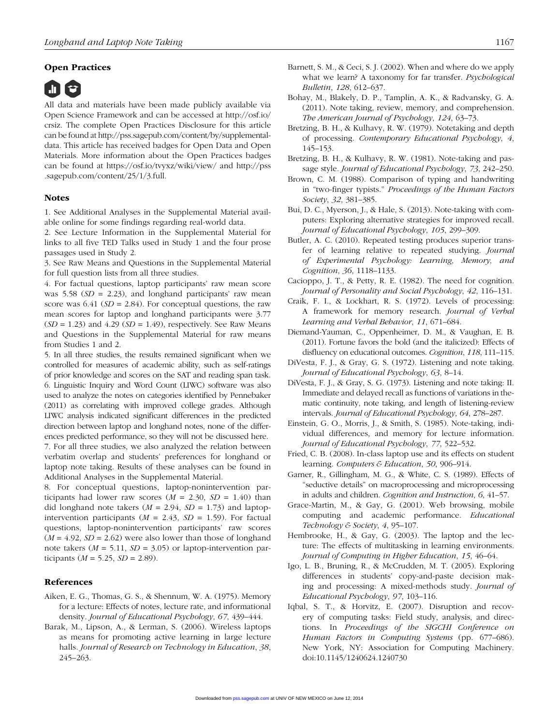#### Open Practices



All data and materials have been made publicly available via [Open Science Framework and can be accessed at http://osf.io/](http://osf.io/crsiz) crsiz. The complete Open Practices Disclosure for this article [can be found at http://pss.sagepub.com/content/by/supplemental](http://pss.sagepub.com/content/by/supplementaldata)data. This article has received badges for Open Data and Open Materials. More information about the Open Practices badges [can be found at https://osf.io/tvyxz/wiki/view/ and http://pss](http://pss.sagepub.com/content/25/1/3.full) .sagepub.com/content/25/1/3.full.

#### **Notes**

1. See Additional Analyses in the Supplemental Material available online for some findings regarding real-world data.

2. See Lecture Information in the Supplemental Material for links to all five TED Talks used in Study 1 and the four prose passages used in Study 2.

3. See Raw Means and Questions in the Supplemental Material for full question lists from all three studies.

4. For factual questions, laptop participants' raw mean score was 5.58 (*SD* = 2.23), and longhand participants' raw mean score was  $6.41$  ( $SD = 2.84$ ). For conceptual questions, the raw mean scores for laptop and longhand participants were 3.77 (*SD* = 1.23) and 4.29 (*SD* = 1.49), respectively. See Raw Means and Questions in the Supplemental Material for raw means from Studies 1 and 2.

5. In all three studies, the results remained significant when we controlled for measures of academic ability, such as self-ratings of prior knowledge and scores on the SAT and reading span task. 6. Linguistic Inquiry and Word Count (LIWC) software was also used to analyze the notes on categories identified by Pennebaker (2011) as correlating with improved college grades. Although LIWC analysis indicated significant differences in the predicted direction between laptop and longhand notes, none of the differences predicted performance, so they will not be discussed here. 7. For all three studies, we also analyzed the relation between verbatim overlap and students' preferences for longhand or laptop note taking. Results of these analyses can be found in

Additional Analyses in the Supplemental Material. 8. For conceptual questions, laptop-nonintervention participants had lower raw scores  $(M = 2.30, SD = 1.40)$  than did longhand note takers  $(M = 2.94, SD = 1.73)$  and laptopintervention participants  $(M = 2.43, SD = 1.59)$ . For factual questions, laptop-nonintervention participants' raw scores  $(M = 4.92, SD = 2.62)$  were also lower than those of longhand note takers  $(M = 5.11, SD = 3.05)$  or laptop-intervention participants ( $M = 5.25$ ,  $SD = 2.89$ ).

#### References

- Aiken, E. G., Thomas, G. S., & Shennum, W. A. (1975). Memory for a lecture: Effects of notes, lecture rate, and informational density. *Journal of Educational Psychology*, *67*, 439–444.
- Barak, M., Lipson, A., & Lerman, S. (2006). Wireless laptops as means for promoting active learning in large lecture halls. *Journal of Research on Technology in Education*, *38*, 245–263.
- *Bulletin*, *128*, 612–637. Bohay, M., Blakely, D. P., Tamplin, A. K., & Radvansky, G. A. (2011). Note taking, review, memory, and comprehension. *The American Journal of Psychology*, *124*, 63–73.
- Bretzing, B. H., & Kulhavy, R. W. (1979). Notetaking and depth of processing. *Contemporary Educational Psychology*, *4*, 145–153.
- Bretzing, B. H., & Kulhavy, R. W. (1981). Note-taking and passage style. *Journal of Educational Psychology*, *73*, 242–250.
- Brown, C. M. (1988). Comparison of typing and handwriting in "two-finger typists." *Proceedings of the Human Factors Society*, *32*, 381–385.
- Bui, D. C., Myerson, J., & Hale, S. (2013). Note-taking with computers: Exploring alternative strategies for improved recall. *Journal of Educational Psychology*, *105*, 299–309.
- Butler, A. C. (2010). Repeated testing produces superior transfer of learning relative to repeated studying. *Journal of Experimental Psychology: Learning, Memory, and Cognition*, *36*, 1118–1133.
- Cacioppo, J. T., & Petty, R. E. (1982). The need for cognition. *Journal of Personality and Social Psychology*, *42*, 116–131.
- Craik, F. I., & Lockhart, R. S. (1972). Levels of processing: A framework for memory research. *Journal of Verbal Learning and Verbal Behavior*, *11*, 671–684.
- Diemand-Yauman, C., Oppenheimer, D. M., & Vaughan, E. B. (2011). Fortune favors the bold (and the italicized): Effects of disfluency on educational outcomes. *Cognition*, *118*, 111–115.
- DiVesta, F. J., & Gray, G. S. (1972). Listening and note taking. *Journal of Educational Psychology*, *63*, 8–14.
- DiVesta, F. J., & Gray, S. G. (1973). Listening and note taking: II. Immediate and delayed recall as functions of variations in thematic continuity, note taking, and length of listening-review intervals. *Journal of Educational Psychology*, *64*, 278–287.
- Einstein, G. O., Morris, J., & Smith, S. (1985). Note-taking, individual differences, and memory for lecture information. *Journal of Educational Psychology*, *77*, 522–532.
- Fried, C. B. (2008). In-class laptop use and its effects on student learning. *Computers & Education*, *50*, 906–914.
- Garner, R., Gillingham, M. G., & White, C. S. (1989). Effects of "seductive details" on macroprocessing and microprocessing in adults and children. *Cognition and Instruction*, *6*, 41–57.
- Grace-Martin, M., & Gay, G. (2001). Web browsing, mobile computing and academic performance. *Educational Technology & Society*, *4*, 95–107.
- Hembrooke, H., & Gay, G. (2003). The laptop and the lecture: The effects of multitasking in learning environments. *Journal of Computing in Higher Education*, *15*, 46–64.
- Igo, L. B., Bruning, R., & McCrudden, M. T. (2005). Exploring differences in students' copy-and-paste decision making and processing: A mixed-methods study. *Journal of Educational Psychology*, *97*, 103–116.
- Iqbal, S. T., & Horvitz, E. (2007). Disruption and recovery of computing tasks: Field study, analysis, and directions*.* In *Proceedings of the SIGCHI Conference on Human Factors in Computing Systems* (pp. 677–686). New York, NY: Association for Computing Machinery. doi:10.1145/1240624.1240730